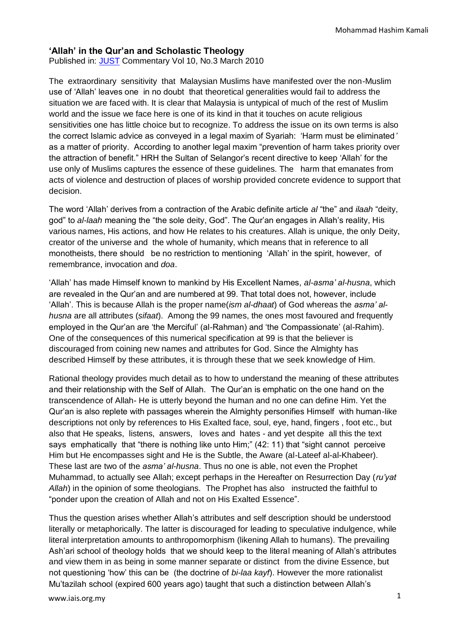## **'Allah' in the Qur'an and Scholastic Theology**

Published in: [JUST](http://www.just-international.org/) Commentary Vol 10, No.3 March 2010

The extraordinary sensitivity that Malaysian Muslims have manifested over the non-Muslim use of "Allah" leaves one in no doubt that theoretical generalities would fail to address the situation we are faced with. It is clear that Malaysia is untypical of much of the rest of Muslim world and the issue we face here is one of its kind in that it touches on acute religious sensitivities one has little choice but to recognize. To address the issue on its own terms is also the correct Islamic advice as conveyed in a legal maxim of Syariah: "Harm must be eliminated*'* as a matter of priority. According to another legal maxim "prevention of harm takes priority over the attraction of benefit." HRH the Sultan of Selangor"s recent directive to keep "Allah" for the use only of Muslims captures the essence of these guidelines. The harm that emanates from acts of violence and destruction of places of worship provided concrete evidence to support that decision.

The word "Allah" derives from a contraction of the Arabic definite article *al* "the" and *ilaah* "deity, god" to *al-laah* meaning the "the sole deity, God". The Qur"an engages in Allah"s reality, His various names, His actions, and how He relates to his creatures. Allah is unique, the only Deity, creator of the universe and the whole of humanity, which means that in reference to all monotheists, there should be no restriction to mentioning "Allah" in the spirit, however, of remembrance, invocation and *doa*.

"Allah" has made Himself known to mankind by His Excellent Names, *al-asma' al-husna*, which are revealed in the Qur"an and are numbered at 99. That total does not, however, include "Allah". This is because Allah is the proper name(*ism al-dhaat*) of God whereas the *asma' alhusna* are all attributes (*sifaat*). Among the 99 names, the ones most favoured and frequently employed in the Qur"an are "the Merciful" (al-Rahman) and "the Compassionate" (al-Rahim). One of the consequences of this numerical specification at 99 is that the believer is discouraged from coining new names and attributes for God. Since the Almighty has described Himself by these attributes, it is through these that we seek knowledge of Him.

Rational theology provides much detail as to how to understand the meaning of these attributes and their relationship with the Self of Allah. The Qur"an is emphatic on the one hand on the transcendence of Allah- He is utterly beyond the human and no one can define Him. Yet the Qur"an is also replete with passages wherein the Almighty personifies Himself with human-like descriptions not only by references to His Exalted face, soul, eye, hand, fingers , foot etc., but also that He speaks, listens, answers, loves and hates - and yet despite all this the text says emphatically that "there is nothing like unto Him;" (42: 11) that "sight cannot perceive Him but He encompasses sight and He is the Subtle, the Aware (al-Lateef al-al-Khabeer). These last are two of the *asma' al-husna*. Thus no one is able, not even the Prophet Muhammad, to actually see Allah; except perhaps in the Hereafter on Resurrection Day (*ru'yat Allah*) in the opinion of some theologians. The Prophet has also instructed the faithful to "ponder upon the creation of Allah and not on His Exalted Essence".

Thus the question arises whether Allah"s attributes and self description should be understood literally or metaphorically. The latter is discouraged for leading to speculative indulgence, while literal interpretation amounts to anthropomorphism (likening Allah to humans). The prevailing Ash"ari school of theology holds that we should keep to the literal meaning of Allah"s attributes and view them in as being in some manner separate or distinct from the divine Essence, but not questioning "how" this can be (the doctrine of *bi-laa kayf*). However the more rationalist Mu"tazilah school (expired 600 years ago) taught that such a distinction between Allah"s